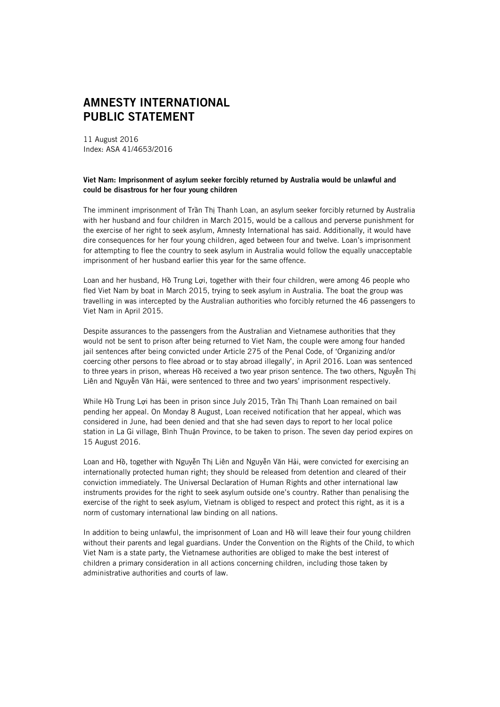## **AMNESTY INTERNATIONAL PUBLIC STATEMENT**

11 August 2016 Index: ASA 41/4653/2016

## **Viet Nam: Imprisonment of asylum seeker forcibly returned by Australia would be unlawful and could be disastrous for her four young children**

The imminent imprisonment of Trần Thị Thanh Loan, an asylum seeker forcibly returned by Australia with her husband and four children in March 2015, would be a callous and perverse punishment for the exercise of her right to seek asylum, Amnesty International has said. Additionally, it would have dire consequences for her four young children, aged between four and twelve. Loan's imprisonment for attempting to flee the country to seek asylum in Australia would follow the equally unacceptable imprisonment of her husband earlier this year for the same offence.

Loan and her husband, Hồ Trung Lợi, together with their four children, were among 46 people who fled Viet Nam by boat in March 2015, trying to seek asylum in Australia. The boat the group was travelling in was intercepted by the Australian authorities who forcibly returned the 46 passengers to Viet Nam in April 2015.

Despite assurances to the passengers from the Australian and Vietnamese authorities that they would not be sent to prison after being returned to Viet Nam, the couple were among four handed jail sentences after being convicted under Article 275 of the Penal Code, of 'Organizing and/or coercing other persons to flee abroad or to stay abroad illegally', in April 2016. Loan was sentenced to three years in prison, whereas Hồ received a two year prison sentence. The two others, Nguyễn Thị Liên and Nguyễn Văn Hải, were sentenced to three and two years' imprisonment respectively.

While Hồ Trung Lợi has been in prison since July 2015, Trần Thị Thanh Loan remained on bail pending her appeal. On Monday 8 August, Loan received notification that her appeal, which was considered in June, had been denied and that she had seven days to report to her local police station in La Gi village, Bình Thuận Province, to be taken to prison. The seven day period expires on 15 August 2016.

Loan and Hồ, together with Nguyễn Thị Liên and Nguyễn Văn Hải, were convicted for exercising an internationally protected human right; they should be released from detention and cleared of their conviction immediately. The Universal Declaration of Human Rights and other international law instruments provides for the right to seek asylum outside one's country. Rather than penalising the exercise of the right to seek asylum, Vietnam is obliged to respect and protect this right, as it is a norm of customary international law binding on all nations.

In addition to being unlawful, the imprisonment of Loan and Hồ will leave their four young children without their parents and legal guardians. Under the Convention on the Rights of the Child, to which Viet Nam is a state party, the Vietnamese authorities are obliged to make the best interest of children a primary consideration in all actions concerning children, including those taken by administrative authorities and courts of law.